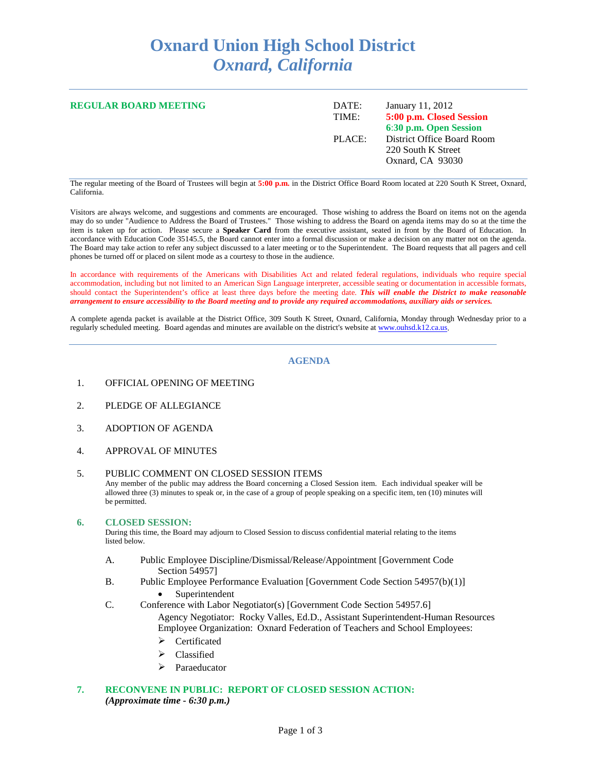# **Oxnard Union High School District** *Oxnard, California*

| <b>REGULAR BOARD MEETING</b> | DATE:<br>TIME: | January 11, 2012<br>5:00 p.m. Closed Session<br>6:30 p.m. Open Session |
|------------------------------|----------------|------------------------------------------------------------------------|
|                              | PLACE:         | District Office Board Room<br>220 South K Street<br>Oxnard, CA 93030   |

The regular meeting of the Board of Trustees will begin at **5:00 p.m.** in the District Office Board Room located at 220 South K Street, Oxnard, California.

Visitors are always welcome, and suggestions and comments are encouraged. Those wishing to address the Board on items not on the agenda may do so under "Audience to Address the Board of Trustees." Those wishing to address the Board on agenda items may do so at the time the item is taken up for action. Please secure a **Speaker Card** from the executive assistant, seated in front by the Board of Education. In accordance with Education Code 35145.5, the Board cannot enter into a formal discussion or make a decision on any matter not on the agenda. The Board may take action to refer any subject discussed to a later meeting or to the Superintendent. The Board requests that all pagers and cell phones be turned off or placed on silent mode as a courtesy to those in the audience.

In accordance with requirements of the Americans with Disabilities Act and related federal regulations, individuals who require special accommodation, including but not limited to an American Sign Language interpreter, accessible seating or documentation in accessible formats, should contact the Superintendent's office at least three days before the meeting date. *This will enable the District to make reasonable arrangement to ensure accessibility to the Board meeting and to provide any required accommodations, auxiliary aids or services.*

A complete agenda packet is available at the District Office, 309 South K Street, Oxnard, California, Monday through Wednesday prior to a regularly scheduled meeting. Board agendas and minutes are available on the district's website at [www.ouhsd.k12.ca.us.](http://www.ouhsd.k12.ca.us/)

### **AGENDA**

- 1. OFFICIAL OPENING OF MEETING
- 2. PLEDGE OF ALLEGIANCE
- 3. ADOPTION OF AGENDA
- 4. APPROVAL OF MINUTES

#### 5. PUBLIC COMMENT ON CLOSED SESSION ITEMS Any member of the public may address the Board concerning a Closed Session item. Each individual speaker will be allowed three (3) minutes to speak or, in the case of a group of people speaking on a specific item, ten (10) minutes will be permitted.

#### **6. CLOSED SESSION:**

During this time, the Board may adjourn to Closed Session to discuss confidential material relating to the items listed below.

- A. Public Employee Discipline/Dismissal/Release/Appointment [Government Code Section 54957]
- B. Public Employee Performance Evaluation [Government Code Section 54957(b)(1)] • Superintendent
- C. Conference with Labor Negotiator(s) [Government Code Section 54957.6] Agency Negotiator: Rocky Valles, Ed.D., Assistant Superintendent-Human Resources Employee Organization: Oxnard Federation of Teachers and School Employees:
	- $\triangleright$  Certificated
	- $\triangleright$  Classified
	- > Paraeducator
- **7. RECONVENE IN PUBLIC: REPORT OF CLOSED SESSION ACTION:** *(Approximate time - 6:30 p.m.)*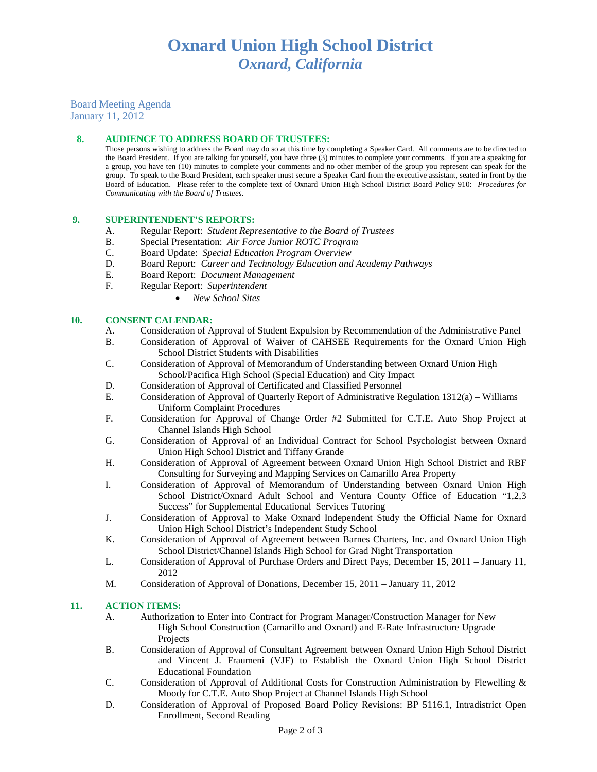## Board Meeting Agenda January 11, 2012

### **8. AUDIENCE TO ADDRESS BOARD OF TRUSTEES:**

Those persons wishing to address the Board may do so at this time by completing a Speaker Card. All comments are to be directed to the Board President. If you are talking for yourself, you have three (3) minutes to complete your comments. If you are a speaking for a group, you have ten (10) minutes to complete your comments and no other member of the group you represent can speak for the group. To speak to the Board President, each speaker must secure a Speaker Card from the executive assistant, seated in front by the Board of Education. Please refer to the complete text of Oxnard Union High School District Board Policy 910: *Procedures for Communicating with the Board of Trustees.*

#### **9. SUPERINTENDENT'S REPORTS:**

- A. Regular Report: *Student Representative to the Board of Trustees*
- B. Special Presentation: *Air Force Junior ROTC Program*
- C. Board Update: *Special Education Program Overview*
- D. Board Report: *Career and Technology Education and Academy Pathways*
- E. Board Report: *Document Management*
- F. Regular Report: *Superintendent*
	- *New School Sites*

#### **10. CONSENT CALENDAR:**

- A. Consideration of Approval of Student Expulsion by Recommendation of the Administrative Panel
- B. Consideration of Approval of Waiver of CAHSEE Requirements for the Oxnard Union High School District Students with Disabilities
- C. Consideration of Approval of Memorandum of Understanding between Oxnard Union High School/Pacifica High School (Special Education) and City Impact
- D. Consideration of Approval of Certificated and Classified Personnel E. Consideration of Approval of Ouarterly Report of Administrative Report
- E. Consideration of Approval of Quarterly Report of Administrative Regulation 1312(a) Williams Uniform Complaint Procedures
- F. Consideration for Approval of Change Order #2 Submitted for C.T.E. Auto Shop Project at Channel Islands High School
- G. Consideration of Approval of an Individual Contract for School Psychologist between Oxnard Union High School District and Tiffany Grande
- H. Consideration of Approval of Agreement between Oxnard Union High School District and RBF Consulting for Surveying and Mapping Services on Camarillo Area Property
- I. Consideration of Approval of Memorandum of Understanding between Oxnard Union High School District/Oxnard Adult School and Ventura County Office of Education "1,2,3 Success" for Supplemental Educational Services Tutoring
- J. Consideration of Approval to Make Oxnard Independent Study the Official Name for Oxnard Union High School District's Independent Study School
- K. Consideration of Approval of Agreement between Barnes Charters, Inc. and Oxnard Union High School District/Channel Islands High School for Grad Night Transportation
- L. Consideration of Approval of Purchase Orders and Direct Pays, December 15, 2011 January 11, 2012
- M. Consideration of Approval of Donations, December 15, 2011 January 11, 2012

### **11. ACTION ITEMS:**

- A. Authorization to Enter into Contract for Program Manager/Construction Manager for New High School Construction (Camarillo and Oxnard) and E-Rate Infrastructure Upgrade Projects
- B. Consideration of Approval of Consultant Agreement between Oxnard Union High School District and Vincent J. Fraumeni (VJF) to Establish the Oxnard Union High School District Educational Foundation
- C. Consideration of Approval of Additional Costs for Construction Administration by Flewelling & Moody for C.T.E. Auto Shop Project at Channel Islands High School
- D. Consideration of Approval of Proposed Board Policy Revisions: BP 5116.1, Intradistrict Open Enrollment, Second Reading